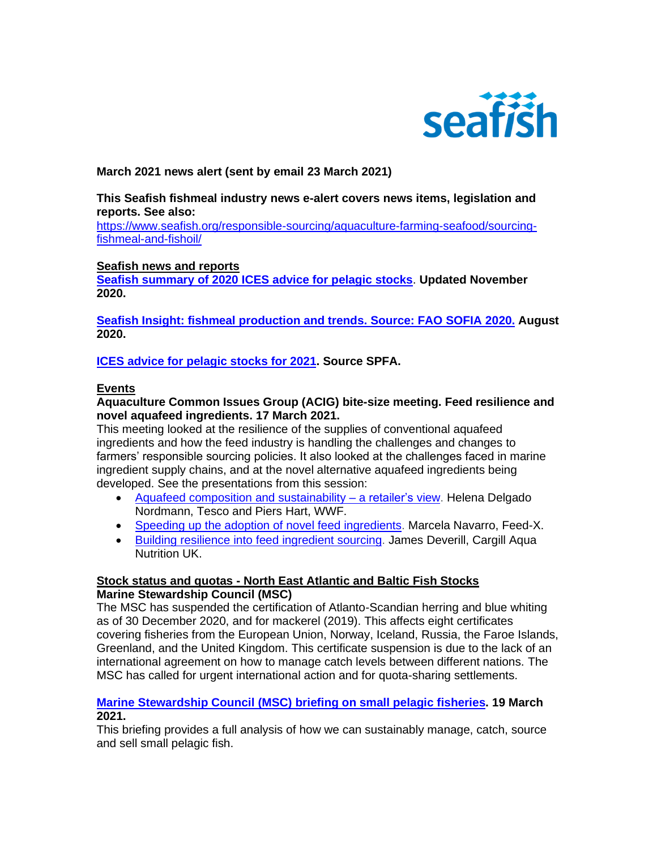

# **March 2021 news alert (sent by email 23 March 2021)**

**This Seafish fishmeal industry news e-alert covers news items, legislation and reports. See also:** 

[https://www.seafish.org/responsible-sourcing/aquaculture-farming-seafood/sourcing](https://www.seafish.org/responsible-sourcing/aquaculture-farming-seafood/sourcing-fishmeal-and-fishoil/)[fishmeal-and-fishoil/](https://www.seafish.org/responsible-sourcing/aquaculture-farming-seafood/sourcing-fishmeal-and-fishoil/)

### **Seafish news and reports**

**[Seafish summary of 2020 ICES advice for pelagic stocks](https://www.seafish.org/document/?id=888FDD41-5B40-4DBE-9DC7-5437F5CDBC02)**. **Updated November 2020.**

**[Seafish Insight: fishmeal production and trends. Source: FAO SOFIA 2020.](https://www.seafish.org/document/?id=0BD346BE-401C-4525-865A-29878DD439D8) August 2020.**

**[ICES advice for pelagic stocks for 2021.](https://www.seafish.org/document/?id=58A227EC-8AA4-449F-9B13-B4665B48C42F) Source SPFA.**

### **Events**

### **Aquaculture Common Issues Group (ACIG) bite-size meeting. Feed resilience and novel aquafeed ingredients. 17 March 2021.**

This meeting looked at the resilience of the supplies of conventional aquafeed ingredients and how the feed industry is handling the challenges and changes to farmers' responsible sourcing policies. It also looked at the challenges faced in marine ingredient supply chains, and at the novel alternative aquafeed ingredients being developed. See the presentations from this session:

- Aquafeed composition and [sustainability](https://www.seafish.org/document/?id=C28DE79B-2FFA-44E4-A8AE-1937882FA45F) a retailer's view. Helena Delgado Nordmann, Tesco and Piers Hart, WWF.
- Speeding up the adoption of novel feed [ingredients.](https://www.seafish.org/document/?id=87CF8AC2-98A1-4891-B3A8-32BF726F03AF) Marcela Navarro, Feed-X.
- Building resilience into feed [ingredient](https://www.seafish.org/document/?id=61CFD5DE-ABD6-46B9-A5DC-231F3EB8A63E) sourcing. James Deverill, Cargill Aqua Nutrition UK.

# **Stock status and quotas - North East Atlantic and Baltic Fish Stocks Marine Stewardship Council (MSC)**

The MSC has suspended the certification of Atlanto-Scandian herring and blue whiting as of 30 December 2020, and for mackerel (2019). This affects eight certificates covering fisheries from the European Union, Norway, Iceland, Russia, the Faroe Islands, Greenland, and the United Kingdom. This certificate suspension is due to the lack of an international agreement on how to manage catch levels between different nations. The MSC has called for urgent international action and for quota-sharing settlements.

### **[Marine Stewardship Council \(MSC\) briefing](https://effop.org/wp-content/uploads/2021/03/msc-briefing-small-pelagic-fisheries-2021.pdf) on small pelagic fisheries. 19 March 2021.**

This briefing provides a full analysis of how we can sustainably manage, catch, source and sell small pelagic fish.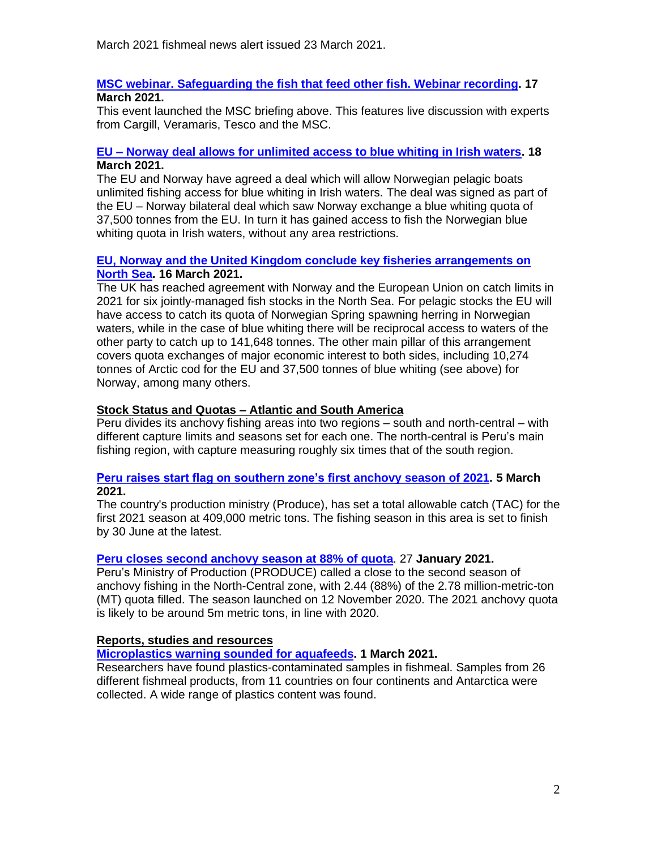March 2021 fishmeal news alert issued 23 March 2021.

### **[MSC webinar. Safeguarding the fish that feed other fish. Webinar recording.](https://www.msc.org/species/small-pelagic-fish/safeguarding-the-fish-that-feed-other-fish) 17 March 2021.**

This event launched the MSC briefing above. This features live discussion with experts from Cargill, Veramaris, Tesco and the MSC.

### **EU – [Norway deal allows for unlimited access to blue whiting in Irish waters.](https://thefishingdaily.com/latest-news/eu-norway-deal-allows-for-unlimited-access-to-blue-whiting-in-irish-waters/) 18 March 2021.**

The EU and Norway have agreed a deal which will allow Norwegian pelagic boats unlimited fishing access for blue whiting in Irish waters. The deal was signed as part of the EU – Norway bilateral deal which saw Norway exchange a blue whiting quota of 37,500 tonnes from the EU. In turn it has gained access to fish the Norwegian blue whiting quota in Irish waters, without any area restrictions.

# **[EU, Norway and the United Kingdom conclude key fisheries arrangements on](https://ec.europa.eu/commission/presscorner/detail/en/IP_21_1206)  [North Sea.](https://ec.europa.eu/commission/presscorner/detail/en/IP_21_1206) 16 March 2021.**

The UK has reached agreement with Norway and the European Union on catch limits in 2021 for six jointly-managed fish stocks in the North Sea. For pelagic stocks the EU will have access to catch its quota of Norwegian Spring spawning herring in Norwegian waters, while in the case of blue whiting there will be reciprocal access to waters of the other party to catch up to 141,648 tonnes. The other main pillar of this arrangement covers quota exchanges of major economic interest to both sides, including 10,274 tonnes of Arctic cod for the EU and 37,500 tonnes of blue whiting (see above) for Norway, among many others.

# **Stock Status and Quotas – Atlantic and South America**

Peru divides its anchovy fishing areas into two regions – south and north-central – with different capture limits and seasons set for each one. The north-central is Peru's main fishing region, with capture measuring roughly six times that of the south region.

### **[Peru raises start flag on southern zone's first anchovy season of 2021.](https://www.undercurrentnews.com/2021/03/05/peru-raises-start-flag-on-southern-zones-first-anchovy-season-of-2021/) 5 March 2021.**

The country's production ministry (Produce), has set a total allowable catch (TAC) for the first 2021 season at 409,000 metric tons. The fishing season in this area is set to finish by 30 June at the latest.

# **[Peru closes second anchovy season at 88%](https://www.seafoodsource.com/news/supply-trade/peru-closes-second-anchovy-season-at-88-percent-of-quota) of quota**. 27 **January 2021.**

Peru's Ministry of Production (PRODUCE) called a close to the second season of anchovy fishing in the North-Central zone, with 2.44 (88%) of the 2.78 million-metric-ton (MT) quota filled. The season launched on 12 November 2020. The 2021 anchovy quota is likely to be around 5m metric tons, in line with 2020.

# **Reports, studies and resources**

# **[Microplastics warning sounded for aquafeeds.](https://www.sciencedirect.com/science/article/abs/pii/S0044848620340229?via%3Dihub) 1 March 2021.**

Researchers have found plastics-contaminated samples in fishmeal. Samples from 26 different fishmeal products, from 11 countries on four continents and Antarctica were collected. A wide range of plastics content was found.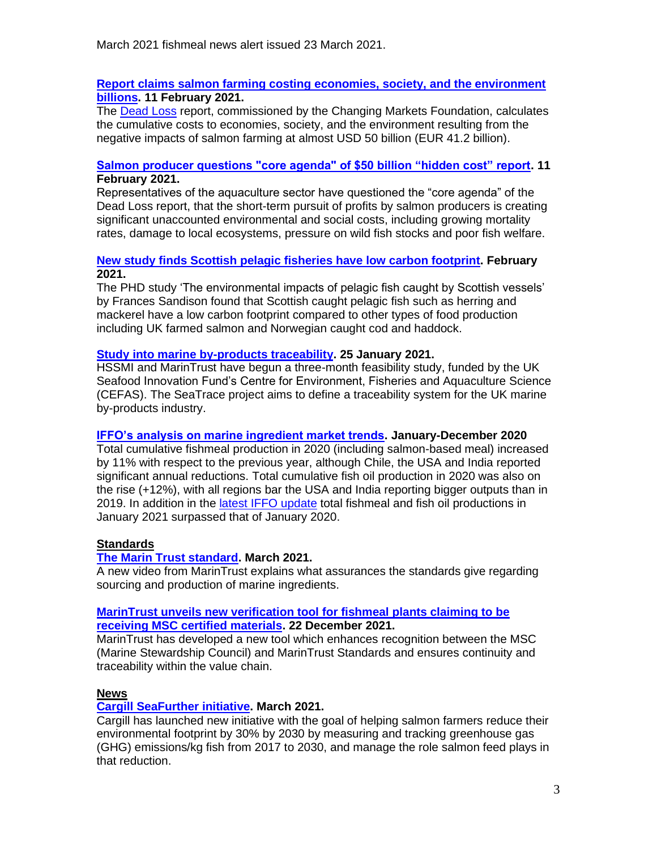### **[Report claims salmon farming costing economies, society, and the environment](https://www.seafoodsource.com/news/environment-sustainability/report-claims-salmon-farming-costing-economies-society-and-the-environment-billions)  [billions.](https://www.seafoodsource.com/news/environment-sustainability/report-claims-salmon-farming-costing-economies-society-and-the-environment-billions) 11 February 2021.**

The [Dead Loss](https://www.justeconomics.co.uk/health-and-well-being/dead-loss) report, commissioned by the Changing Markets Foundation, calculates the cumulative costs to economies, society, and the environment resulting from the negative impacts of salmon farming at almost USD 50 billion (EUR 41.2 billion).

# **[Salmon producer questions "core agenda" of \\$50 billion "hidden cost" report.](https://thefishsite.com/articles/salmon-producer-questions-core-agenda-of-50-billion-hidden-cost-report) 11 February 2021.**

Representatives of the aquaculture sector have questioned the "core agenda" of the Dead Loss report, that the short-term pursuit of profits by salmon producers is creating significant unaccounted environmental and social costs, including growing mortality rates, damage to local ecosystems, pressure on wild fish stocks and poor fish welfare.

# **[New study finds Scottish pelagic fisheries have low carbon footprint.](https://fishfocus.co.uk/new-study-finds-scottish/) February 2021.**

The PHD study 'The environmental impacts of pelagic fish caught by Scottish vessels' by Frances Sandison found that Scottish caught pelagic fish such as herring and mackerel have a low carbon footprint compared to other types of food production including UK farmed salmon and Norwegian caught cod and haddock.

# **[Study into marine by-products traceability.](https://www.worldfishing.net/news101/industry-news/study-into-marine-by-products-traceability) 25 January 2021.**

HSSMI and MarinTrust have begun a three-month feasibility study, funded by the UK Seafood Innovation Fund's Centre for Environment, Fisheries and Aquaculture Science (CEFAS). The SeaTrace project aims to define a traceability system for the UK marine by-products industry.

# **[IFFO's analysis on marine ingredient market trends.](https://www.iffo.com/iffos-analysis-market-trends-increased-fishmeal-production-2020-respect-2019) January-December 2020**

Total cumulative fishmeal production in 2020 (including salmon-based meal) increased by 11% with respect to the previous year, although Chile, the USA and India reported significant annual reductions. Total cumulative fish oil production in 2020 was also on the rise (+12%), with all regions bar the USA and India reporting bigger outputs than in 2019. In addition in the [latest IFFO update](https://www.iffo.com/total-fishmeal-and-fish-oil-productions-january-2021-surpassed-january-2020) total fishmeal and fish oil productions in January 2021 surpassed that of January 2020.

# **Standards**

# **[The Marin Trust standard.](https://www.marin-trust.com/) March 2021.**

A new video from MarinTrust explains what assurances the standards give regarding sourcing and production of marine ingredients.

# **[MarinTrust unveils new verification tool for fishmeal plants claiming to be](https://www.marin-trust.com/news/marintrust-unveils-new-verification-tool-fishmeal-plants-claiming-be-receiving-msc-certified)  [receiving MSC certified materials.](https://www.marin-trust.com/news/marintrust-unveils-new-verification-tool-fishmeal-plants-claiming-be-receiving-msc-certified) 22 December 2021.**

MarinTrust has developed a new tool which enhances recognition between the MSC (Marine Stewardship Council) and MarinTrust Standards and ensures continuity and traceability within the value chain.

# **News**

# **[Cargill SeaFurther initiative.](https://www.cargill.com/sustainability/supply-chains/seafurther-sustainability-aquaculture) March 2021.**

Cargill has launched new initiative with the goal of helping salmon farmers reduce their environmental footprint by 30% by 2030 by measuring and tracking greenhouse gas (GHG) emissions/kg fish from 2017 to 2030, and manage the role salmon feed plays in that reduction.